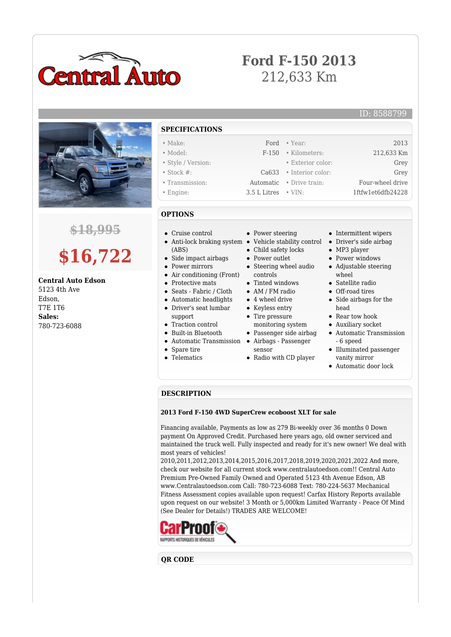

## **Ford F-150 2013** 212,633 Km

ID: 8588799



### **\$18,995**

# **\$16,722**

**Central Auto Edson** 5123 4th Ave Edson, T7E 1T6

**Sales:** 780-723-6088

- **SPECIFICATIONS**
- Make: Ford Year: 2013
- Model: F-150 Kilometers: 212,633 Km • Style / Version: • Exterior color: Grey
- Stock #: Ca633 Interior color: Grey
- Transmission: Automatic Drive train: Four-wheel drive
- Engine: 3.5 L Litres VIN: 1ftfw1et6dfb24228
- **OPTIONS**
- Cruise control
- Anti-lock braking system Vehicle stability control Driver's side airbag (ABS)
- Side impact airbags
- Power mirrors
- Air conditioning (Front)
- Protective mats
- Seats Fabric / Cloth
- Automatic headlights
- Driver's seat lumbar
- support
- Traction control
- Built-in Bluetooth
- Automatic Transmission Airbags Passenger
- Spare tire
- Telematics
- Power steering
- 
- Child safety locks
- Power outlet
- Steering wheel audio controls
- Tinted windows
- AM / FM radio
- 4 wheel drive
- Keyless entry
- Tire pressure
- monitoring system Passenger side airbag
- 
- sensor
- Radio with CD player
- Intermittent wipers
- 
- MP3 player
- Power windows
- Adjustable steering wheel
- Satellite radio
- Off-road tires
- Side airbags for the head
- Rear tow hook
- Auxiliary socket
- Automatic Transmission - 6 speed
- Illuminated passenger vanity mirror
- Automatic door lock

#### **DESCRIPTION**

#### **2013 Ford F-150 4WD SuperCrew ecoboost XLT for sale**

Financing available, Payments as low as 279 Bi-weekly over 36 months 0 Down payment On Approved Credit. Purchased here years ago, old owner serviced and maintained the truck well. Fully inspected and ready for it's new owner! We deal with most years of vehicles!

2010,2011,2012,2013,2014,2015,2016,2017,2018,2019,2020,2021,2022 And more, check our website for all current stock www.centralautoedson.com!! Central Auto Premium Pre-Owned Family Owned and Operated 5123 4th Avenue Edson, AB www.Centralautoedson.com Call: 780-723-6088 Text: 780-224-5637 Mechanical Fitness Assessment copies available upon request! Carfax History Reports available upon request on our website! 3 Month or 5,000km Limited Warranty - Peace Of Mind (See Dealer for Details!) TRADES ARE WELCOME!



#### **QR CODE**